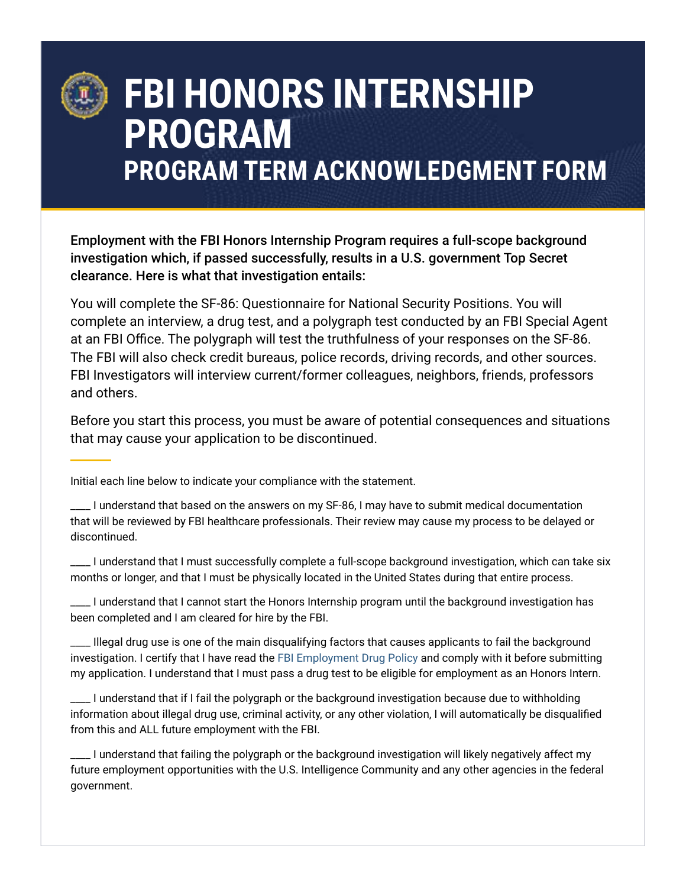

## **FBI HONORS INTERNSHIP PROGRAM PROGRAM TERM ACKNOWLEDGMENT FORM**

Employment with the FBI Honors Internship Program requires a full-scope background investigation which, if passed successfully, results in a U.S. government Top Secret clearance. Here is what that investigation entails:

You will complete the SF-86: Questionnaire for National Security Positions. You will complete an interview, a drug test, and a polygraph test conducted by an FBI Special Agent at an FBI Office. The polygraph will test the truthfulness of your responses on the SF-86. The FBI will also check credit bureaus, police records, driving records, and other sources. FBI Investigators will interview current/former colleagues, neighbors, friends, professors and others.

Before you start this process, you must be aware of potential consequences and situations that may cause your application to be discontinued.

Initial each line below to indicate your compliance with the statement.

\_\_\_\_ I understand that based on the answers on my SF-86, I may have to submit medical documentation that will be reviewed by FBI healthcare professionals. Their review may cause my process to be delayed or discontinued.

\_\_\_\_ I understand that I must successfully complete a full-scope background investigation, which can take six months or longer, and that I must be physically located in the United States during that entire process.

\_\_\_\_ I understand that I cannot start the Honors Internship program until the background investigation has been completed and I am cleared for hire by the FBI.

\_\_\_\_ Illegal drug use is one of the main disqualifying factors that causes applicants to fail the background investigation. I certify that I have read the [FBI Employment Drug Policy](https://www.fbijobs.gov/eligibility) and comply with it before submitting my application. I understand that I must pass a drug test to be eligible for employment as an Honors Intern.

\_\_\_\_ I understand that if I fail the polygraph or the background investigation because due to withholding information about illegal drug use, criminal activity, or any other violation, I will automatically be disqualified from this and ALL future employment with the FBI.

\_\_\_\_ I understand that failing the polygraph or the background investigation will likely negatively affect my future employment opportunities with the U.S. Intelligence Community and any other agencies in the federal government.